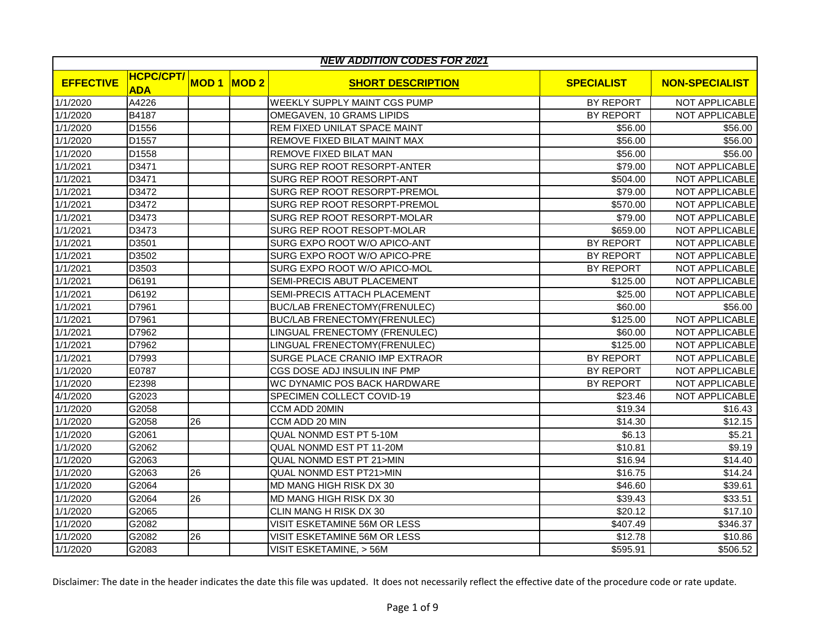|                  | <b>NEW ADDITION CODES FOR 2021</b> |             |      |                                     |                   |                       |  |  |  |
|------------------|------------------------------------|-------------|------|-------------------------------------|-------------------|-----------------------|--|--|--|
| <b>EFFECTIVE</b> | <b>HCPC/CPT/</b><br><b>ADA</b>     | <b>MOD1</b> | MOD2 | <b>SHORT DESCRIPTION</b>            | <b>SPECIALIST</b> | <b>NON-SPECIALIST</b> |  |  |  |
| 1/1/2020         | A4226                              |             |      | WEEKLY SUPPLY MAINT CGS PUMP        | BY REPORT         | NOT APPLICABLE        |  |  |  |
| 1/1/2020         | B4187                              |             |      | OMEGAVEN, 10 GRAMS LIPIDS           | <b>BY REPORT</b>  | <b>NOT APPLICABLE</b> |  |  |  |
| 1/1/2020         | D1556                              |             |      | REM FIXED UNILAT SPACE MAINT        | \$56.00           | \$56.00               |  |  |  |
| 1/1/2020         | D1557                              |             |      | REMOVE FIXED BILAT MAINT MAX        | \$56.00           | \$56.00               |  |  |  |
| 1/1/2020         | D1558                              |             |      | REMOVE FIXED BILAT MAN              | \$56.00           | \$56.00               |  |  |  |
| 1/1/2021         | D3471                              |             |      | SURG REP ROOT RESORPT-ANTER         | \$79.00           | NOT APPLICABLE        |  |  |  |
| 1/1/2021         | D3471                              |             |      | SURG REP ROOT RESORPT-ANT           | \$504.00          | NOT APPLICABLE        |  |  |  |
| 1/1/2021         | D3472                              |             |      | SURG REP ROOT RESORPT-PREMOL        | \$79.00           | NOT APPLICABLE        |  |  |  |
| 1/1/2021         | D3472                              |             |      | SURG REP ROOT RESORPT-PREMOL        | \$570.00          | <b>NOT APPLICABLE</b> |  |  |  |
| 1/1/2021         | D3473                              |             |      | SURG REP ROOT RESORPT-MOLAR         | \$79.00           | NOT APPLICABLE        |  |  |  |
| 1/1/2021         | D3473                              |             |      | SURG REP ROOT RESOPT-MOLAR          | \$659.00          | NOT APPLICABLE        |  |  |  |
| 1/1/2021         | D3501                              |             |      | SURG EXPO ROOT W/O APICO-ANT        | BY REPORT         | NOT APPLICABLE        |  |  |  |
| 1/1/2021         | D3502                              |             |      | SURG EXPO ROOT W/O APICO-PRE        | BY REPORT         | NOT APPLICABLE        |  |  |  |
| 1/1/2021         | D3503                              |             |      | SURG EXPO ROOT W/O APICO-MOL        | BY REPORT         | NOT APPLICABLE        |  |  |  |
| 1/1/2021         | D6191                              |             |      | SEMI-PRECIS ABUT PLACEMENT          | \$125.00          | NOT APPLICABLE        |  |  |  |
| 1/1/2021         | D6192                              |             |      | SEMI-PRECIS ATTACH PLACEMENT        | \$25.00           | NOT APPLICABLE        |  |  |  |
| 1/1/2021         | D7961                              |             |      | <b>BUC/LAB FRENECTOMY(FRENULEC)</b> | \$60.00           | \$56.00               |  |  |  |
| 1/1/2021         | D7961                              |             |      | <b>BUC/LAB FRENECTOMY(FRENULEC)</b> | \$125.00          | NOT APPLICABLE        |  |  |  |
| 1/1/2021         | D7962                              |             |      | LINGUAL FRENECTOMY (FRENULEC)       | \$60.00           | NOT APPLICABLE        |  |  |  |
| 1/1/2021         | D7962                              |             |      | LINGUAL FRENECTOMY(FRENULEC)        | \$125.00          | NOT APPLICABLE        |  |  |  |
| 1/1/2021         | D7993                              |             |      | SURGE PLACE CRANIO IMP EXTRAOR      | BY REPORT         | NOT APPLICABLE        |  |  |  |
| 1/1/2020         | E0787                              |             |      | CGS DOSE ADJ INSULIN INF PMP        | <b>BY REPORT</b>  | <b>NOT APPLICABLE</b> |  |  |  |
| 1/1/2020         | E2398                              |             |      | WC DYNAMIC POS BACK HARDWARE        | BY REPORT         | NOT APPLICABLE        |  |  |  |
| 4/1/2020         | G2023                              |             |      | SPECIMEN COLLECT COVID-19           | \$23.46           | NOT APPLICABLE        |  |  |  |
| 1/1/2020         | G2058                              |             |      | CCM ADD 20MIN                       | \$19.34           | \$16.43               |  |  |  |
| 1/1/2020         | G2058                              | 26          |      | CCM ADD 20 MIN                      | \$14.30           | \$12.15               |  |  |  |
| 1/1/2020         | G2061                              |             |      | QUAL NONMD EST PT 5-10M             | \$6.13            | \$5.21                |  |  |  |
| 1/1/2020         | G2062                              |             |      | QUAL NONMD EST PT 11-20M            | \$10.81           | \$9.19                |  |  |  |
| 1/1/2020         | G2063                              |             |      | QUAL NONMD EST PT 21>MIN            | \$16.94           | \$14.40               |  |  |  |
| 1/1/2020         | G2063                              | 26          |      | <b>QUAL NONMD EST PT21&gt;MIN</b>   | \$16.75           | \$14.24               |  |  |  |
| 1/1/2020         | G2064                              |             |      | MD MANG HIGH RISK DX 30             | \$46.60           | \$39.61               |  |  |  |
| 1/1/2020         | G2064                              | 26          |      | MD MANG HIGH RISK DX 30             | \$39.43           | \$33.51               |  |  |  |
| 1/1/2020         | G2065                              |             |      | CLIN MANG H RISK DX 30              | \$20.12           | \$17.10               |  |  |  |
| 1/1/2020         | G2082                              |             |      | VISIT ESKETAMINE 56M OR LESS        | \$407.49          | \$346.37              |  |  |  |
| 1/1/2020         | G2082                              | 26          |      | VISIT ESKETAMINE 56M OR LESS        | \$12.78           | \$10.86               |  |  |  |
| 1/1/2020         | G2083                              |             |      | VISIT ESKETAMINE, > 56M             | \$595.91          | \$506.52              |  |  |  |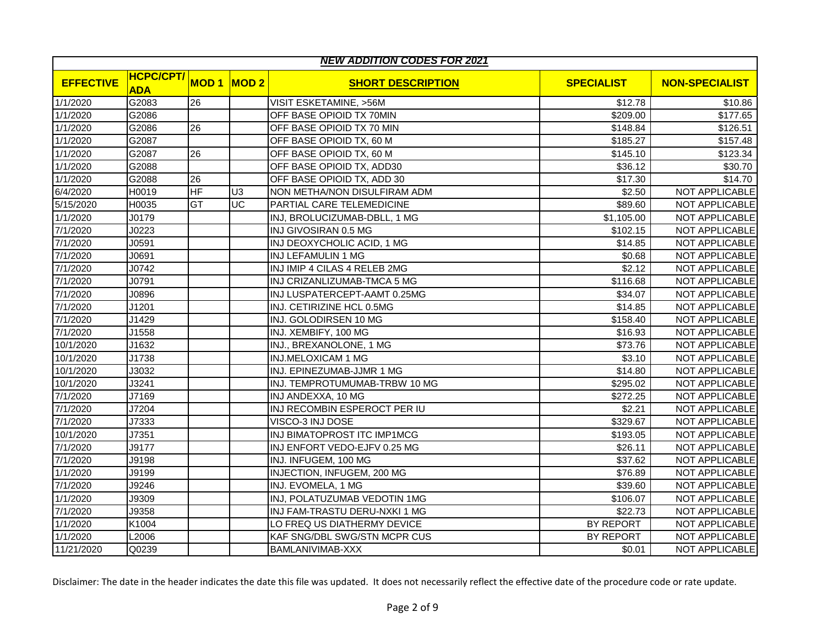|                  | <b>NEW ADDITION CODES FOR 2021</b> |             |                |                               |                   |                       |  |  |  |  |
|------------------|------------------------------------|-------------|----------------|-------------------------------|-------------------|-----------------------|--|--|--|--|
| <b>EFFECTIVE</b> | <b>HCPC/CPT/</b><br><b>ADA</b>     | <b>MOD1</b> | MOD2           | <b>SHORT DESCRIPTION</b>      | <b>SPECIALIST</b> | <b>NON-SPECIALIST</b> |  |  |  |  |
| 1/1/2020         | G2083                              | 26          |                | VISIT ESKETAMINE, >56M        | \$12.78           | \$10.86               |  |  |  |  |
| 1/1/2020         | G2086                              |             |                | OFF BASE OPIOID TX 70MIN      | \$209.00          | \$177.65              |  |  |  |  |
| 1/1/2020         | G2086                              | 26          |                | OFF BASE OPIOID TX 70 MIN     | \$148.84          | \$126.51              |  |  |  |  |
| 1/1/2020         | G2087                              |             |                | OFF BASE OPIOID TX, 60 M      | \$185.27          | \$157.48              |  |  |  |  |
| 1/1/2020         | G2087                              | 26          |                | OFF BASE OPIOID TX, 60 M      | \$145.10          | \$123.34              |  |  |  |  |
| 1/1/2020         | G2088                              |             |                | OFF BASE OPIOID TX, ADD30     | \$36.12           | \$30.70               |  |  |  |  |
| 1/1/2020         | G2088                              | 26          |                | OFF BASE OPIOID TX, ADD 30    | \$17.30           | \$14.70               |  |  |  |  |
| 6/4/2020         | H0019                              | HF          | U <sub>3</sub> | NON METHA/NON DISULFIRAM ADM  | \$2.50            | NOT APPLICABLE        |  |  |  |  |
| 5/15/2020        | H0035                              | GT          | UC             | PARTIAL CARE TELEMEDICINE     | \$89.60           | NOT APPLICABLE        |  |  |  |  |
| 1/1/2020         | J0179                              |             |                | INJ, BROLUCIZUMAB-DBLL, 1 MG  | \$1,105.00        | NOT APPLICABLE        |  |  |  |  |
| 7/1/2020         | J0223                              |             |                | INJ GIVOSIRAN 0.5 MG          | \$102.15          | NOT APPLICABLE        |  |  |  |  |
| 7/1/2020         | J0591                              |             |                | INJ DEOXYCHOLIC ACID, 1 MG    | \$14.85           | <b>NOT APPLICABLE</b> |  |  |  |  |
| 7/1/2020         | J0691                              |             |                | INJ LEFAMULIN 1 MG            | \$0.68            | NOT APPLICABLE        |  |  |  |  |
| 7/1/2020         | J0742                              |             |                | INJ IMIP 4 CILAS 4 RELEB 2MG  | \$2.12            | NOT APPLICABLE        |  |  |  |  |
| 7/1/2020         | J0791                              |             |                | INJ CRIZANLIZUMAB-TMCA 5 MG   | \$116.68          | NOT APPLICABLE        |  |  |  |  |
| 7/1/2020         | J0896                              |             |                | INJ LUSPATERCEPT-AAMT 0.25MG  | \$34.07           | <b>NOT APPLICABLE</b> |  |  |  |  |
| 7/1/2020         | J1201                              |             |                | INJ. CETIRIZINE HCL 0.5MG     | \$14.85           | NOT APPLICABLE        |  |  |  |  |
| 7/1/2020         | J1429                              |             |                | INJ. GOLODIRSEN 10 MG         | \$158.40          | NOT APPLICABLE        |  |  |  |  |
| 7/1/2020         | J1558                              |             |                | INJ. XEMBIFY, 100 MG          | \$16.93           | NOT APPLICABLE        |  |  |  |  |
| 10/1/2020        | J1632                              |             |                | INJ., BREXANOLONE, 1 MG       | \$73.76           | <b>NOT APPLICABLE</b> |  |  |  |  |
| 10/1/2020        | J1738                              |             |                | <b>INJ.MELOXICAM 1 MG</b>     | \$3.10            | NOT APPLICABLE        |  |  |  |  |
| 10/1/2020        | J3032                              |             |                | INJ. EPINEZUMAB-JJMR 1 MG     | \$14.80           | NOT APPLICABLE        |  |  |  |  |
| 10/1/2020        | J3241                              |             |                | INJ. TEMPROTUMUMAB-TRBW 10 MG | \$295.02          | NOT APPLICABLE        |  |  |  |  |
| 7/1/2020         | J7169                              |             |                | INJ ANDEXXA, 10 MG            | \$272.25          | NOT APPLICABLE        |  |  |  |  |
| 7/1/2020         | J7204                              |             |                | INJ RECOMBIN ESPEROCT PER IU  | \$2.21            | <b>NOT APPLICABLE</b> |  |  |  |  |
| 7/1/2020         | J7333                              |             |                | VISCO-3 INJ DOSE              | \$329.67          | NOT APPLICABLE        |  |  |  |  |
| 10/1/2020        | J7351                              |             |                | INJ BIMATOPROST ITC IMP1MCG   | \$193.05          | NOT APPLICABLE        |  |  |  |  |
| 7/1/2020         | J9177                              |             |                | INJ ENFORT VEDO-EJFV 0.25 MG  | \$26.11           | NOT APPLICABLE        |  |  |  |  |
| 7/1/2020         | J9198                              |             |                | INJ. INFUGEM, 100 MG          | \$37.62           | <b>NOT APPLICABLE</b> |  |  |  |  |
| 1/1/2020         | J9199                              |             |                | INJECTION, INFUGEM, 200 MG    | \$76.89           | NOT APPLICABLE        |  |  |  |  |
| 7/1/2020         | J9246                              |             |                | INJ. EVOMELA, 1 MG            | \$39.60           | NOT APPLICABLE        |  |  |  |  |
| 1/1/2020         | J9309                              |             |                | INJ, POLATUZUMAB VEDOTIN 1MG  | \$106.07          | NOT APPLICABLE        |  |  |  |  |
| 7/1/2020         | J9358                              |             |                | INJ FAM-TRASTU DERU-NXKI 1 MG | \$22.73           | NOT APPLICABLE        |  |  |  |  |
| 1/1/2020         | K1004                              |             |                | LO FREQ US DIATHERMY DEVICE   | <b>BY REPORT</b>  | NOT APPLICABLE        |  |  |  |  |
| 1/1/2020         | L2006                              |             |                | KAF SNG/DBL SWG/STN MCPR CUS  | BY REPORT         | NOT APPLICABLE        |  |  |  |  |
| 11/21/2020       | Q0239                              |             |                | BAMLANIVIMAB-XXX              | \$0.01            | <b>NOT APPLICABLE</b> |  |  |  |  |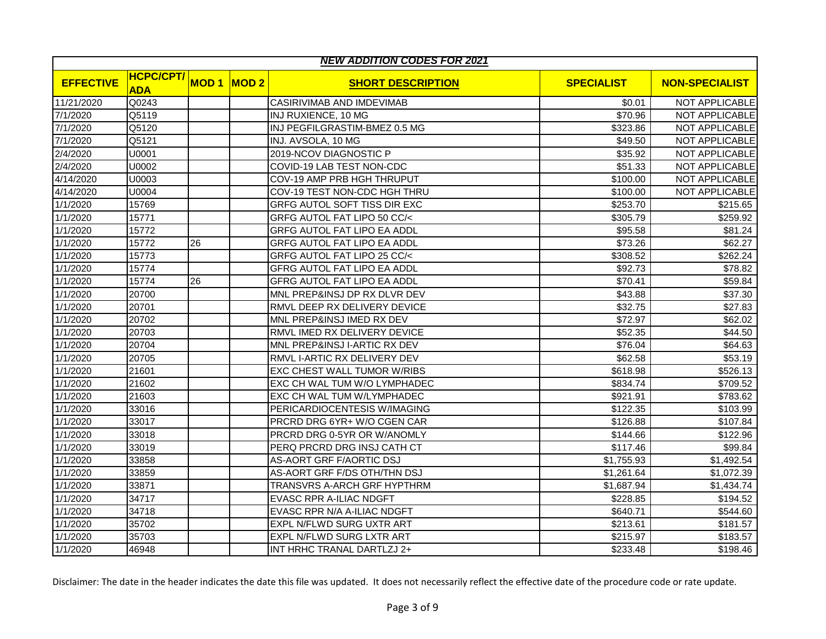|                  | <b>NEW ADDITION CODES FOR 2021</b> |             |             |                                     |                   |                       |  |  |  |
|------------------|------------------------------------|-------------|-------------|-------------------------------------|-------------------|-----------------------|--|--|--|
| <b>EFFECTIVE</b> | <b>HCPC/CPT/</b><br><b>ADA</b>     | <b>MOD1</b> | <b>MOD2</b> | <b>SHORT DESCRIPTION</b>            | <b>SPECIALIST</b> | <b>NON-SPECIALIST</b> |  |  |  |
| 11/21/2020       | Q0243                              |             |             | CASIRIVIMAB AND IMDEVIMAB           | \$0.01            | NOT APPLICABLE        |  |  |  |
| 7/1/2020         | Q5119                              |             |             | INJ RUXIENCE, 10 MG                 | \$70.96           | NOT APPLICABLE        |  |  |  |
| 7/1/2020         | Q5120                              |             |             | INJ PEGFILGRASTIM-BMEZ 0.5 MG       | \$323.86          | NOT APPLICABLE        |  |  |  |
| 7/1/2020         | Q5121                              |             |             | INJ. AVSOLA, 10 MG                  | \$49.50           | NOT APPLICABLE        |  |  |  |
| 2/4/2020         | U0001                              |             |             | 2019-NCOV DIAGNOSTIC P              | \$35.92           | NOT APPLICABLE        |  |  |  |
| 2/4/2020         | U0002                              |             |             | COVID-19 LAB TEST NON-CDC           | \$51.33           | <b>NOT APPLICABLE</b> |  |  |  |
| 4/14/2020        | U0003                              |             |             | COV-19 AMP PRB HGH THRUPUT          | \$100.00          | <b>NOT APPLICABLE</b> |  |  |  |
| 4/14/2020        | U0004                              |             |             | COV-19 TEST NON-CDC HGH THRU        | \$100.00          | NOT APPLICABLE        |  |  |  |
| 1/1/2020         | 15769                              |             |             | <b>GRFG AUTOL SOFT TISS DIR EXC</b> | \$253.70          | \$215.65              |  |  |  |
| 1/1/2020         | 15771                              |             |             | GRFG AUTOL FAT LIPO 50 CC/<         | \$305.79          | \$259.92              |  |  |  |
| 1/1/2020         | 15772                              |             |             | GRFG AUTOL FAT LIPO EA ADDL         | \$95.58           | \$81.24               |  |  |  |
| 1/1/2020         | 15772                              | 26          |             | <b>GRFG AUTOL FAT LIPO EA ADDL</b>  | \$73.26           | \$62.27               |  |  |  |
| 1/1/2020         | 15773                              |             |             | GRFG AUTOL FAT LIPO 25 CC/<         | \$308.52          | \$262.24              |  |  |  |
| 1/1/2020         | 15774                              |             |             | <b>GFRG AUTOL FAT LIPO EA ADDL</b>  | \$92.73           | \$78.82               |  |  |  |
| 1/1/2020         | 15774                              | 26          |             | <b>GFRG AUTOL FAT LIPO EA ADDL</b>  | \$70.41           | \$59.84               |  |  |  |
| 1/1/2020         | 20700                              |             |             | MNL PREP&INSJ DP RX DLVR DEV        | \$43.88           | \$37.30               |  |  |  |
| 1/1/2020         | 20701                              |             |             | RMVL DEEP RX DELIVERY DEVICE        | \$32.75           | \$27.83               |  |  |  |
| 1/1/2020         | 20702                              |             |             | MNL PREP&INSJ IMED RX DEV           | \$72.97           | \$62.02               |  |  |  |
| 1/1/2020         | 20703                              |             |             | RMVL IMED RX DELIVERY DEVICE        | \$52.35           | \$44.50               |  |  |  |
| 1/1/2020         | 20704                              |             |             | MNL PREP&INSJ I-ARTIC RX DEV        | \$76.04           | \$64.63               |  |  |  |
| 1/1/2020         | 20705                              |             |             | RMVL I-ARTIC RX DELIVERY DEV        | \$62.58           | \$53.19               |  |  |  |
| 1/1/2020         | 21601                              |             |             | <b>EXC CHEST WALL TUMOR W/RIBS</b>  | \$618.98          | \$526.13              |  |  |  |
| 1/1/2020         | 21602                              |             |             | EXC CH WAL TUM W/O LYMPHADEC        | \$834.74          | \$709.52              |  |  |  |
| 1/1/2020         | 21603                              |             |             | EXC CH WAL TUM W/LYMPHADEC          | \$921.91          | \$783.62              |  |  |  |
| 1/1/2020         | 33016                              |             |             | PERICARDIOCENTESIS W/IMAGING        | \$122.35          | \$103.99              |  |  |  |
| 1/1/2020         | 33017                              |             |             | PRCRD DRG 6YR+ W/O CGEN CAR         | \$126.88          | \$107.84              |  |  |  |
| 1/1/2020         | 33018                              |             |             | PRCRD DRG 0-5YR OR W/ANOMLY         | \$144.66          | \$122.96              |  |  |  |
| 1/1/2020         | 33019                              |             |             | PERQ PRCRD DRG INSJ CATH CT         | \$117.46          | \$99.84               |  |  |  |
| 1/1/2020         | 33858                              |             |             | AS-AORT GRF F/AORTIC DSJ            | \$1,755.93        | \$1,492.54            |  |  |  |
| 1/1/2020         | 33859                              |             |             | AS-AORT GRF F/DS OTH/THN DSJ        | \$1,261.64        | \$1,072.39            |  |  |  |
| 1/1/2020         | 33871                              |             |             | TRANSVRS A-ARCH GRF HYPTHRM         | \$1,687.94        | \$1,434.74            |  |  |  |
| 1/1/2020         | 34717                              |             |             | EVASC RPR A-ILIAC NDGFT             | \$228.85          | \$194.52              |  |  |  |
| 1/1/2020         | 34718                              |             |             | EVASC RPR N/A A-ILIAC NDGFT         | \$640.71          | \$544.60              |  |  |  |
| 1/1/2020         | 35702                              |             |             | EXPL N/FLWD SURG UXTR ART           | \$213.61          | \$181.57              |  |  |  |
| 1/1/2020         | 35703                              |             |             | EXPL N/FLWD SURG LXTR ART           | \$215.97          | \$183.57              |  |  |  |
| 1/1/2020         | 46948                              |             |             | INT HRHC TRANAL DARTLZJ 2+          | \$233.48          | \$198.46              |  |  |  |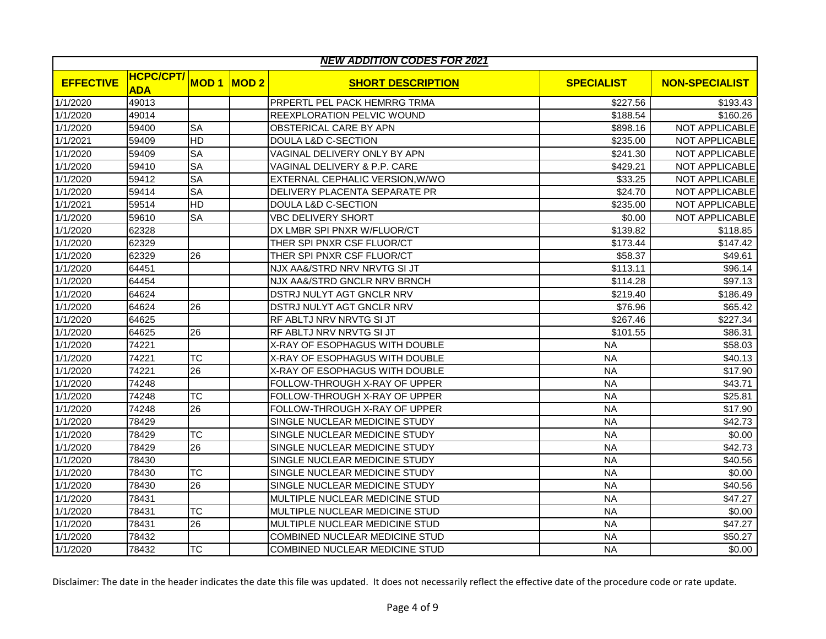|                  | <b>NEW ADDITION CODES FOR 2021</b> |             |      |                                 |                   |                       |  |  |  |
|------------------|------------------------------------|-------------|------|---------------------------------|-------------------|-----------------------|--|--|--|
| <b>EFFECTIVE</b> | <b>HCPC/CPT/</b><br><b>ADA</b>     | <b>MOD1</b> | MOD2 | <b>SHORT DESCRIPTION</b>        | <b>SPECIALIST</b> | <b>NON-SPECIALIST</b> |  |  |  |
| 1/1/2020         | 49013                              |             |      | PRPERTL PEL PACK HEMRRG TRMA    | \$227.56          | \$193.43              |  |  |  |
| 1/1/2020         | 49014                              |             |      | REEXPLORATION PELVIC WOUND      | \$188.54          | \$160.26              |  |  |  |
| 1/1/2020         | 59400                              | <b>SA</b>   |      | OBSTERICAL CARE BY APN          | \$898.16          | NOT APPLICABLE        |  |  |  |
| 1/1/2021         | 59409                              | HD          |      | <b>DOULA L&amp;D C-SECTION</b>  | \$235.00          | <b>NOT APPLICABLE</b> |  |  |  |
| 1/1/2020         | 59409                              | <b>SA</b>   |      | VAGINAL DELIVERY ONLY BY APN    | \$241.30          | NOT APPLICABLE        |  |  |  |
| 1/1/2020         | 59410                              | <b>SA</b>   |      | VAGINAL DELIVERY & P.P. CARE    | \$429.21          | NOT APPLICABLE        |  |  |  |
| 1/1/2020         | 59412                              | <b>SA</b>   |      | EXTERNAL CEPHALIC VERSION, W/WO | \$33.25           | <b>NOT APPLICABLE</b> |  |  |  |
| 1/1/2020         | 59414                              | <b>SA</b>   |      | DELIVERY PLACENTA SEPARATE PR   | \$24.70           | <b>NOT APPLICABLE</b> |  |  |  |
| 1/1/2021         | 59514                              | HD          |      | <b>DOULA L&amp;D C-SECTION</b>  | \$235.00          | <b>NOT APPLICABLE</b> |  |  |  |
| 1/1/2020         | 59610                              | <b>SA</b>   |      | <b>VBC DELIVERY SHORT</b>       | \$0.00            | NOT APPLICABLE        |  |  |  |
| 1/1/2020         | 62328                              |             |      | DX LMBR SPI PNXR W/FLUOR/CT     | \$139.82          | \$118.85              |  |  |  |
| 1/1/2020         | 62329                              |             |      | THER SPI PNXR CSF FLUOR/CT      | \$173.44          | \$147.42              |  |  |  |
| 1/1/2020         | 62329                              | 26          |      | THER SPI PNXR CSF FLUOR/CT      | \$58.37           | \$49.61               |  |  |  |
| 1/1/2020         | 64451                              |             |      | NJX AA&/STRD NRV NRVTG SI JT    | \$113.11          | \$96.14               |  |  |  |
| 1/1/2020         | 64454                              |             |      | NJX AA&/STRD GNCLR NRV BRNCH    | \$114.28          | \$97.13               |  |  |  |
| 1/1/2020         | 64624                              |             |      | DSTRJ NULYT AGT GNCLR NRV       | \$219.40          | \$186.49              |  |  |  |
| 1/1/2020         | 64624                              | 26          |      | DSTRJ NULYT AGT GNCLR NRV       | \$76.96           | \$65.42               |  |  |  |
| 1/1/2020         | 64625                              |             |      | RF ABLTJ NRV NRVTG SI JT        | \$267.46          | \$227.34              |  |  |  |
| 1/1/2020         | 64625                              | 26          |      | RF ABLTJ NRV NRVTG SI JT        | \$101.55          | \$86.31               |  |  |  |
| 1/1/2020         | 74221                              |             |      | X-RAY OF ESOPHAGUS WITH DOUBLE  | <b>NA</b>         | \$58.03               |  |  |  |
| 1/1/2020         | 74221                              | <b>TC</b>   |      | X-RAY OF ESOPHAGUS WITH DOUBLE  | <b>NA</b>         | \$40.13               |  |  |  |
| 1/1/2020         | 74221                              | 26          |      | X-RAY OF ESOPHAGUS WITH DOUBLE  | <b>NA</b>         | \$17.90               |  |  |  |
| 1/1/2020         | 74248                              |             |      | FOLLOW-THROUGH X-RAY OF UPPER   | <b>NA</b>         | \$43.71               |  |  |  |
| 1/1/2020         | 74248                              | <b>TC</b>   |      | FOLLOW-THROUGH X-RAY OF UPPER   | <b>NA</b>         | \$25.81               |  |  |  |
| 1/1/2020         | 74248                              | 26          |      | FOLLOW-THROUGH X-RAY OF UPPER   | <b>NA</b>         | \$17.90               |  |  |  |
| 1/1/2020         | 78429                              |             |      | SINGLE NUCLEAR MEDICINE STUDY   | <b>NA</b>         | \$42.73               |  |  |  |
| 1/1/2020         | 78429                              | <b>TC</b>   |      | SINGLE NUCLEAR MEDICINE STUDY   | <b>NA</b>         | \$0.00                |  |  |  |
| 1/1/2020         | 78429                              | 26          |      | SINGLE NUCLEAR MEDICINE STUDY   | <b>NA</b>         | \$42.73               |  |  |  |
| 1/1/2020         | 78430                              |             |      | SINGLE NUCLEAR MEDICINE STUDY   | <b>NA</b>         | \$40.56               |  |  |  |
| 1/1/2020         | 78430                              | <b>TC</b>   |      | SINGLE NUCLEAR MEDICINE STUDY   | <b>NA</b>         | \$0.00                |  |  |  |
| 1/1/2020         | 78430                              | 26          |      | SINGLE NUCLEAR MEDICINE STUDY   | <b>NA</b>         | \$40.56               |  |  |  |
| 1/1/2020         | 78431                              |             |      | MULTIPLE NUCLEAR MEDICINE STUD  | <b>NA</b>         | \$47.27               |  |  |  |
| 1/1/2020         | 78431                              | <b>TC</b>   |      | MULTIPLE NUCLEAR MEDICINE STUD  | <b>NA</b>         | \$0.00                |  |  |  |
| 1/1/2020         | 78431                              | 26          |      | MULTIPLE NUCLEAR MEDICINE STUD  | <b>NA</b>         | \$47.27               |  |  |  |
| 1/1/2020         | 78432                              |             |      | COMBINED NUCLEAR MEDICINE STUD  | <b>NA</b>         | \$50.27               |  |  |  |
| 1/1/2020         | 78432                              | <b>TC</b>   |      | COMBINED NUCLEAR MEDICINE STUD  | <b>NA</b>         | \$0.00                |  |  |  |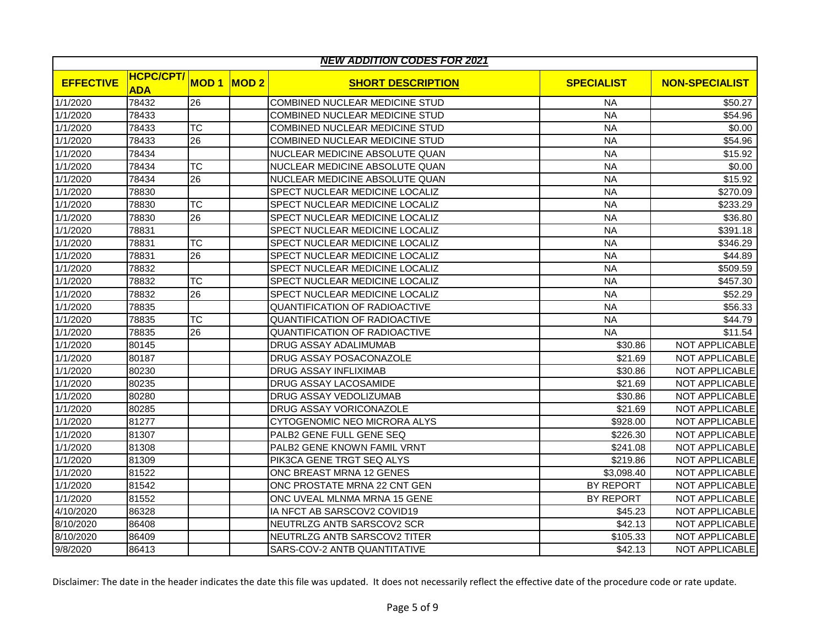|                  | <b>NEW ADDITION CODES FOR 2021</b> |                 |      |                                       |                   |                       |  |  |  |
|------------------|------------------------------------|-----------------|------|---------------------------------------|-------------------|-----------------------|--|--|--|
| <b>EFFECTIVE</b> | <b>HCPC/CPT/</b><br><b>ADA</b>     | <b>MOD1</b>     | MOD2 | <b>SHORT DESCRIPTION</b>              | <b>SPECIALIST</b> | <b>NON-SPECIALIST</b> |  |  |  |
| 1/1/2020         | 78432                              | 26              |      | <b>COMBINED NUCLEAR MEDICINE STUD</b> | <b>NA</b>         | \$50.27               |  |  |  |
| 1/1/2020         | 78433                              |                 |      | COMBINED NUCLEAR MEDICINE STUD        | <b>NA</b>         | \$54.96               |  |  |  |
| 1/1/2020         | 78433                              | <b>TC</b>       |      | COMBINED NUCLEAR MEDICINE STUD        | <b>NA</b>         | \$0.00                |  |  |  |
| 1/1/2020         | 78433                              | 26              |      | COMBINED NUCLEAR MEDICINE STUD        | <b>NA</b>         | \$54.96               |  |  |  |
| 1/1/2020         | 78434                              |                 |      | NUCLEAR MEDICINE ABSOLUTE QUAN        | <b>NA</b>         | \$15.92               |  |  |  |
| 1/1/2020         | 78434                              | <b>TC</b>       |      | NUCLEAR MEDICINE ABSOLUTE QUAN        | <b>NA</b>         | \$0.00                |  |  |  |
| 1/1/2020         | 78434                              | 26              |      | NUCLEAR MEDICINE ABSOLUTE QUAN        | <b>NA</b>         | \$15.92               |  |  |  |
| 1/1/2020         | 78830                              |                 |      | SPECT NUCLEAR MEDICINE LOCALIZ        | <b>NA</b>         | \$270.09              |  |  |  |
| 1/1/2020         | 78830                              | <b>TC</b>       |      | SPECT NUCLEAR MEDICINE LOCALIZ        | <b>NA</b>         | \$233.29              |  |  |  |
| 1/1/2020         | 78830                              | 26              |      | SPECT NUCLEAR MEDICINE LOCALIZ        | <b>NA</b>         | \$36.80               |  |  |  |
| 1/1/2020         | 78831                              |                 |      | SPECT NUCLEAR MEDICINE LOCALIZ        | <b>NA</b>         | \$391.18              |  |  |  |
| 1/1/2020         | 78831                              | <b>TC</b>       |      | SPECT NUCLEAR MEDICINE LOCALIZ        | <b>NA</b>         | \$346.29              |  |  |  |
| 1/1/2020         | 78831                              | 26              |      | SPECT NUCLEAR MEDICINE LOCALIZ        | <b>NA</b>         | \$44.89               |  |  |  |
| 1/1/2020         | 78832                              |                 |      | SPECT NUCLEAR MEDICINE LOCALIZ        | <b>NA</b>         | \$509.59              |  |  |  |
| 1/1/2020         | 78832                              | <b>TC</b>       |      | SPECT NUCLEAR MEDICINE LOCALIZ        | <b>NA</b>         | \$457.30              |  |  |  |
| 1/1/2020         | 78832                              | $\overline{26}$ |      | SPECT NUCLEAR MEDICINE LOCALIZ        | <b>NA</b>         | \$52.29               |  |  |  |
| 1/1/2020         | 78835                              |                 |      | <b>QUANTIFICATION OF RADIOACTIVE</b>  | <b>NA</b>         | \$56.33               |  |  |  |
| 1/1/2020         | 78835                              | <b>TC</b>       |      | QUANTIFICATION OF RADIOACTIVE         | <b>NA</b>         | \$44.79               |  |  |  |
| 1/1/2020         | 78835                              | 26              |      | QUANTIFICATION OF RADIOACTIVE         | <b>NA</b>         | \$11.54               |  |  |  |
| 1/1/2020         | 80145                              |                 |      | DRUG ASSAY ADALIMUMAB                 | \$30.86           | NOT APPLICABLE        |  |  |  |
| 1/1/2020         | 80187                              |                 |      | DRUG ASSAY POSACONAZOLE               | \$21.69           | NOT APPLICABLE        |  |  |  |
| 1/1/2020         | 80230                              |                 |      | DRUG ASSAY INFLIXIMAB                 | \$30.86           | NOT APPLICABLE        |  |  |  |
| 1/1/2020         | 80235                              |                 |      | DRUG ASSAY LACOSAMIDE                 | \$21.69           | NOT APPLICABLE        |  |  |  |
| 1/1/2020         | 80280                              |                 |      | DRUG ASSAY VEDOLIZUMAB                | \$30.86           | <b>NOT APPLICABLE</b> |  |  |  |
| 1/1/2020         | 80285                              |                 |      | DRUG ASSAY VORICONAZOLE               | \$21.69           | <b>NOT APPLICABLE</b> |  |  |  |
| 1/1/2020         | 81277                              |                 |      | CYTOGENOMIC NEO MICRORA ALYS          | \$928.00          | <b>NOT APPLICABLE</b> |  |  |  |
| 1/1/2020         | 81307                              |                 |      | PALB2 GENE FULL GENE SEQ              | \$226.30          | NOT APPLICABLE        |  |  |  |
| 1/1/2020         | 81308                              |                 |      | PALB2 GENE KNOWN FAMIL VRNT           | \$241.08          | NOT APPLICABLE        |  |  |  |
| 1/1/2020         | 81309                              |                 |      | PIK3CA GENE TRGT SEQ ALYS             | \$219.86          | <b>NOT APPLICABLE</b> |  |  |  |
| 1/1/2020         | 81522                              |                 |      | ONC BREAST MRNA 12 GENES              | \$3,098.40        | NOT APPLICABLE        |  |  |  |
| 1/1/2020         | 81542                              |                 |      | ONC PROSTATE MRNA 22 CNT GEN          | BY REPORT         | NOT APPLICABLE        |  |  |  |
| 1/1/2020         | 81552                              |                 |      | ONC UVEAL MLNMA MRNA 15 GENE          | <b>BY REPORT</b>  | NOT APPLICABLE        |  |  |  |
| 4/10/2020        | 86328                              |                 |      | IA NFCT AB SARSCOV2 COVID19           | \$45.23           | NOT APPLICABLE        |  |  |  |
| 8/10/2020        | 86408                              |                 |      | NEUTRLZG ANTB SARSCOV2 SCR            | \$42.13           | NOT APPLICABLE        |  |  |  |
| 8/10/2020        | 86409                              |                 |      | NEUTRLZG ANTB SARSCOV2 TITER          | \$105.33          | NOT APPLICABLE        |  |  |  |
| 9/8/2020         | 86413                              |                 |      | SARS-COV-2 ANTB QUANTITATIVE          | \$42.13           | <b>NOT APPLICABLE</b> |  |  |  |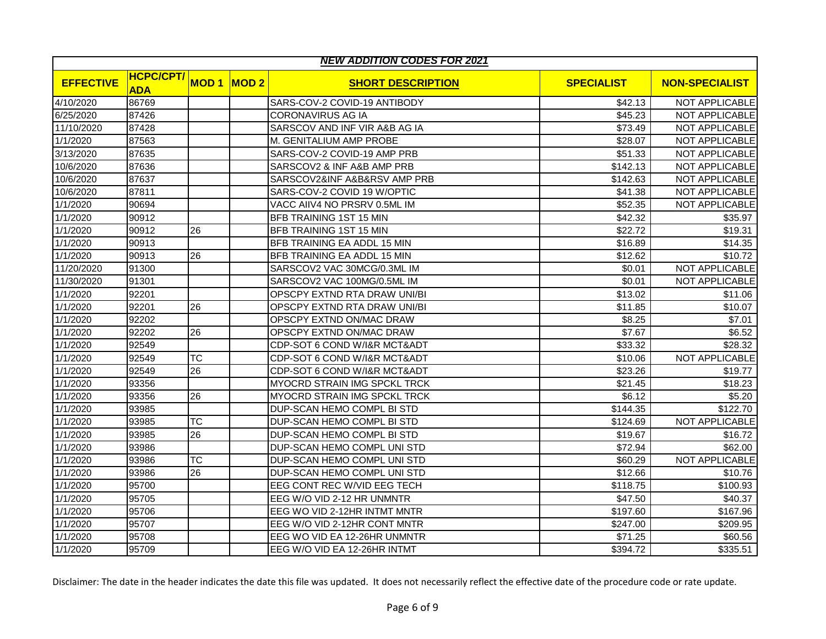|                  |                                |             |      | <b>NEW ADDITION CODES FOR 2021</b> |                   |                       |
|------------------|--------------------------------|-------------|------|------------------------------------|-------------------|-----------------------|
| <b>EFFECTIVE</b> | <b>HCPC/CPT/</b><br><b>ADA</b> | <b>MOD1</b> | MOD2 | <b>SHORT DESCRIPTION</b>           | <b>SPECIALIST</b> | <b>NON-SPECIALIST</b> |
| 4/10/2020        | 86769                          |             |      | SARS-COV-2 COVID-19 ANTIBODY       | \$42.13           | NOT APPLICABLE        |
| 6/25/2020        | 87426                          |             |      | <b>CORONAVIRUS AG IA</b>           | \$45.23           | NOT APPLICABLE        |
| 11/10/2020       | 87428                          |             |      | SARSCOV AND INF VIR A&B AG IA      | \$73.49           | NOT APPLICABLE        |
| 1/1/2020         | 87563                          |             |      | M. GENITALIUM AMP PROBE            | \$28.07           | NOT APPLICABLE        |
| 3/13/2020        | 87635                          |             |      | SARS-COV-2 COVID-19 AMP PRB        | \$51.33           | NOT APPLICABLE        |
| 10/6/2020        | 87636                          |             |      | SARSCOV2 & INF A&B AMP PRB         | \$142.13          | <b>NOT APPLICABLE</b> |
| 10/6/2020        | 87637                          |             |      | SARSCOV2&INF A&B&RSV AMP PRB       | \$142.63          | <b>NOT APPLICABLE</b> |
| 10/6/2020        | 87811                          |             |      | SARS-COV-2 COVID 19 W/OPTIC        | \$41.38           | <b>NOT APPLICABLE</b> |
| 1/1/2020         | 90694                          |             |      | VACC AIIV4 NO PRSRV 0.5ML IM       | \$52.35           | NOT APPLICABLE        |
| 1/1/2020         | 90912                          |             |      | BFB TRAINING 1ST 15 MIN            | \$42.32           | \$35.97               |
| 1/1/2020         | 90912                          | 26          |      | <b>BFB TRAINING 1ST 15 MIN</b>     | \$22.72           | \$19.31               |
| 1/1/2020         | 90913                          |             |      | <b>BFB TRAINING EA ADDL 15 MIN</b> | \$16.89           | \$14.35               |
| 1/1/2020         | 90913                          | 26          |      | BFB TRAINING EA ADDL 15 MIN        | \$12.62           | \$10.72               |
| 11/20/2020       | 91300                          |             |      | SARSCOV2 VAC 30MCG/0.3ML IM        | \$0.01            | NOT APPLICABLE        |
| 11/30/2020       | 91301                          |             |      | SARSCOV2 VAC 100MG/0.5ML IM        | \$0.01            | NOT APPLICABLE        |
| 1/1/2020         | 92201                          |             |      | OPSCPY EXTND RTA DRAW UNI/BI       | \$13.02           | \$11.06               |
| 1/1/2020         | 92201                          | 26          |      | OPSCPY EXTND RTA DRAW UNI/BI       | \$11.85           | \$10.07               |
| 1/1/2020         | 92202                          |             |      | OPSCPY EXTND ON/MAC DRAW           | \$8.25            | \$7.01                |
| 1/1/2020         | 92202                          | 26          |      | OPSCPY EXTND ON/MAC DRAW           | \$7.67            | \$6.52                |
| 1/1/2020         | 92549                          |             |      | CDP-SOT 6 COND W/I&R MCT&ADT       | \$33.32           | \$28.32               |
| 1/1/2020         | 92549                          | <b>TC</b>   |      | CDP-SOT 6 COND W/I&R MCT&ADT       | \$10.06           | <b>NOT APPLICABLE</b> |
| 1/1/2020         | 92549                          | 26          |      | CDP-SOT 6 COND W/I&R MCT&ADT       | \$23.26           | \$19.77               |
| 1/1/2020         | 93356                          |             |      | MYOCRD STRAIN IMG SPCKL TRCK       | \$21.45           | \$18.23               |
| 1/1/2020         | 93356                          | 26          |      | MYOCRD STRAIN IMG SPCKL TRCK       | \$6.12            | \$5.20                |
| 1/1/2020         | 93985                          |             |      | DUP-SCAN HEMO COMPL BI STD         | \$144.35          | \$122.70              |
| 1/1/2020         | 93985                          | <b>TC</b>   |      | DUP-SCAN HEMO COMPL BI STD         | \$124.69          | NOT APPLICABLE        |
| 1/1/2020         | 93985                          | 26          |      | DUP-SCAN HEMO COMPL BI STD         | \$19.67           | \$16.72               |
| 1/1/2020         | 93986                          |             |      | DUP-SCAN HEMO COMPL UNI STD        | \$72.94           | \$62.00               |
| 1/1/2020         | 93986                          | ТC          |      | DUP-SCAN HEMO COMPL UNI STD        | \$60.29           | NOT APPLICABLE        |
| 1/1/2020         | 93986                          | 26          |      | DUP-SCAN HEMO COMPL UNI STD        | \$12.66           | \$10.76               |
| 1/1/2020         | 95700                          |             |      | EEG CONT REC W/VID EEG TECH        | \$118.75          | \$100.93              |
| 1/1/2020         | 95705                          |             |      | EEG W/O VID 2-12 HR UNMNTR         | \$47.50           | \$40.37               |
| 1/1/2020         | 95706                          |             |      | EEG WO VID 2-12HR INTMT MNTR       | \$197.60          | \$167.96              |
| 1/1/2020         | 95707                          |             |      | EEG W/O VID 2-12HR CONT MNTR       | \$247.00          | \$209.95              |
| 1/1/2020         | 95708                          |             |      | EEG WO VID EA 12-26HR UNMNTR       | \$71.25           | \$60.56               |
| 1/1/2020         | 95709                          |             |      | EEG W/O VID EA 12-26HR INTMT       | \$394.72          | \$335.51              |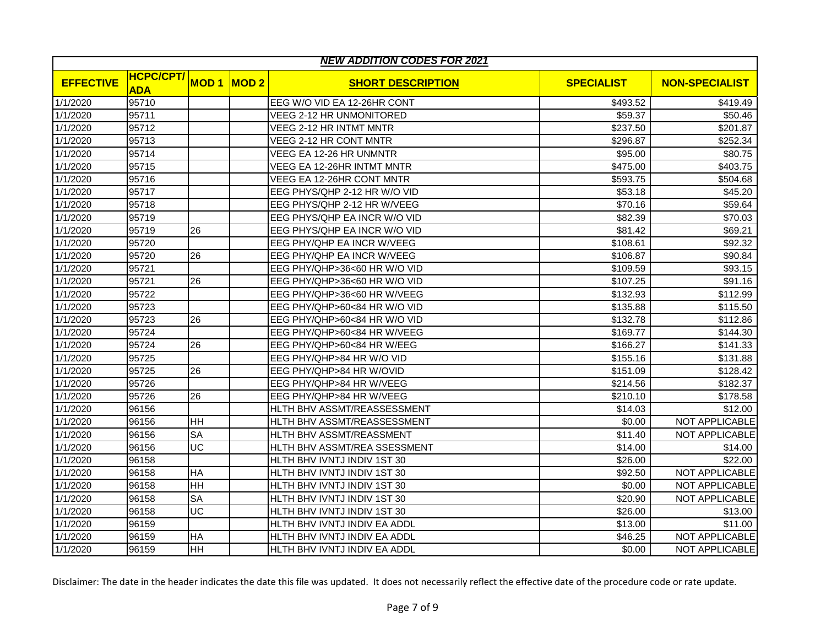| <b>NEW ADDITION CODES FOR 2021</b> |                                |             |      |                              |                   |                       |  |  |
|------------------------------------|--------------------------------|-------------|------|------------------------------|-------------------|-----------------------|--|--|
| <b>EFFECTIVE</b>                   | <b>HCPC/CPT/</b><br><b>ADA</b> | <b>MOD1</b> | MOD2 | <b>SHORT DESCRIPTION</b>     | <b>SPECIALIST</b> | <b>NON-SPECIALIST</b> |  |  |
| 1/1/2020                           | 95710                          |             |      | EEG W/O VID EA 12-26HR CONT  | \$493.52          | \$419.49              |  |  |
| 1/1/2020                           | 95711                          |             |      | VEEG 2-12 HR UNMONITORED     | \$59.37           | \$50.46               |  |  |
| 1/1/2020                           | 95712                          |             |      | VEEG 2-12 HR INTMT MNTR      | \$237.50          | \$201.87              |  |  |
| 1/1/2020                           | 95713                          |             |      | VEEG 2-12 HR CONT MNTR       | \$296.87          | \$252.34              |  |  |
| 1/1/2020                           | 95714                          |             |      | VEEG EA 12-26 HR UNMNTR      | \$95.00           | \$80.75               |  |  |
| 1/1/2020                           | 95715                          |             |      | VEEG EA 12-26HR INTMT MNTR   | \$475.00          | \$403.75              |  |  |
| 1/1/2020                           | 95716                          |             |      | VEEG EA 12-26HR CONT MNTR    | \$593.75          | \$504.68              |  |  |
| 1/1/2020                           | 95717                          |             |      | EEG PHYS/QHP 2-12 HR W/O VID | \$53.18           | \$45.20               |  |  |
| 1/1/2020                           | 95718                          |             |      | EEG PHYS/QHP 2-12 HR W/VEEG  | \$70.16           | \$59.64               |  |  |
| 1/1/2020                           | 95719                          |             |      | EEG PHYS/QHP EA INCR W/O VID | \$82.39           | \$70.03               |  |  |
| 1/1/2020                           | 95719                          | 26          |      | EEG PHYS/QHP EA INCR W/O VID | \$81.42           | \$69.21               |  |  |
| 1/1/2020                           | 95720                          |             |      | EEG PHY/QHP EA INCR W/VEEG   | \$108.61          | \$92.32               |  |  |
| 1/1/2020                           | 95720                          | 26          |      | EEG PHY/QHP EA INCR W/VEEG   | \$106.87          | \$90.84               |  |  |
| 1/1/2020                           | 95721                          |             |      | EEG PHY/QHP>36<60 HR W/O VID | \$109.59          | \$93.15               |  |  |
| 1/1/2020                           | 95721                          | 26          |      | EEG PHY/QHP>36<60 HR W/O VID | \$107.25          | \$91.16               |  |  |
| 1/1/2020                           | 95722                          |             |      | EEG PHY/QHP>36<60 HR W/VEEG  | \$132.93          | \$112.99              |  |  |
| 1/1/2020                           | 95723                          |             |      | EEG PHY/QHP>60<84 HR W/O VID | \$135.88          | \$115.50              |  |  |
| 1/1/2020                           | 95723                          | 26          |      | EEG PHY/QHP>60<84 HR W/O VID | \$132.78          | \$112.86              |  |  |
| 1/1/2020                           | 95724                          |             |      | EEG PHY/QHP>60<84 HR W/VEEG  | \$169.77          | \$144.30              |  |  |
| 1/1/2020                           | 95724                          | 26          |      | EEG PHY/QHP>60<84 HR W/EEG   | \$166.27          | \$141.33              |  |  |
| 1/1/2020                           | 95725                          |             |      | EEG PHY/QHP>84 HR W/O VID    | \$155.16          | \$131.88              |  |  |
| 1/1/2020                           | 95725                          | 26          |      | EEG PHY/QHP>84 HR W/OVID     | \$151.09          | \$128.42              |  |  |
| 1/1/2020                           | 95726                          |             |      | EEG PHY/QHP>84 HR W/VEEG     | \$214.56          | \$182.37              |  |  |
| 1/1/2020                           | 95726                          | 26          |      | EEG PHY/QHP>84 HR W/VEEG     | \$210.10          | \$178.58              |  |  |
| 1/1/2020                           | 96156                          |             |      | HLTH BHV ASSMT/REASSESSMENT  | \$14.03           | \$12.00               |  |  |
| 1/1/2020                           | 96156                          | HH          |      | HLTH BHV ASSMT/REASSESSMENT  | \$0.00            | <b>NOT APPLICABLE</b> |  |  |
| 1/1/2020                           | 96156                          | <b>SA</b>   |      | HLTH BHV ASSMT/REASSMENT     | \$11.40           | NOT APPLICABLE        |  |  |
| 1/1/2020                           | 96156                          | UC          |      | HLTH BHV ASSMT/REA SSESSMENT | \$14.00           | \$14.00               |  |  |
| 1/1/2020                           | 96158                          |             |      | HLTH BHV IVNTJ INDIV 1ST 30  | \$26.00           | \$22.00               |  |  |
| 1/1/2020                           | 96158                          | HA          |      | HLTH BHV IVNTJ INDIV 1ST 30  | \$92.50           | NOT APPLICABLE        |  |  |
| 1/1/2020                           | 96158                          | HH          |      | HLTH BHV IVNTJ INDIV 1ST 30  | \$0.00            | NOT APPLICABLE        |  |  |
| 1/1/2020                           | 96158                          | <b>SA</b>   |      | HLTH BHV IVNTJ INDIV 1ST 30  | \$20.90           | NOT APPLICABLE        |  |  |
| 1/1/2020                           | 96158                          | UC          |      | HLTH BHV IVNTJ INDIV 1ST 30  | \$26.00           | \$13.00               |  |  |
| 1/1/2020                           | 96159                          |             |      | HLTH BHV IVNTJ INDIV EA ADDL | \$13.00           | \$11.00               |  |  |
| 1/1/2020                           | 96159                          | HA          |      | HLTH BHV IVNTJ INDIV EA ADDL | \$46.25           | NOT APPLICABLE        |  |  |
| 1/1/2020                           | 96159                          | HH          |      | HLTH BHV IVNTJ INDIV EA ADDL | \$0.00            | <b>NOT APPLICABLE</b> |  |  |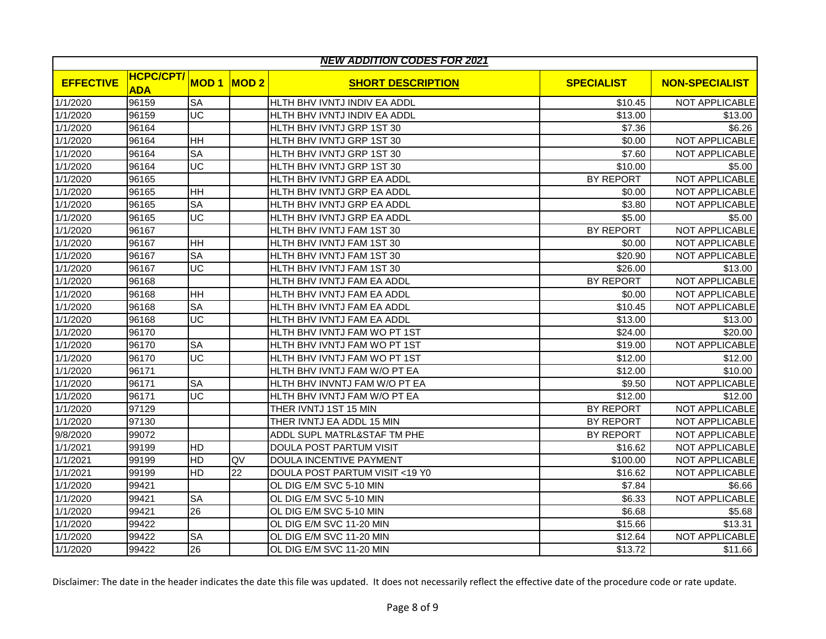|                  | <b>NEW ADDITION CODES FOR 2021</b> |                          |      |                                |                   |                       |  |  |  |
|------------------|------------------------------------|--------------------------|------|--------------------------------|-------------------|-----------------------|--|--|--|
| <b>EFFECTIVE</b> | <b>HCPC/CPT/</b><br><b>ADA</b>     | <b>MOD1</b>              | MOD2 | <b>SHORT DESCRIPTION</b>       | <b>SPECIALIST</b> | <b>NON-SPECIALIST</b> |  |  |  |
| 1/1/2020         | 96159                              | <b>SA</b>                |      | HLTH BHV IVNTJ INDIV EA ADDL   | \$10.45           | NOT APPLICABLE        |  |  |  |
| 1/1/2020         | 96159                              | UC                       |      | HLTH BHV IVNTJ INDIV EA ADDL   | \$13.00           | \$13.00               |  |  |  |
| 1/1/2020         | 96164                              |                          |      | HLTH BHV IVNTJ GRP 1ST 30      | \$7.36            | $\overline{$}6.26$    |  |  |  |
| 1/1/2020         | 96164                              | HH                       |      | HLTH BHV IVNTJ GRP 1ST 30      | \$0.00            | NOT APPLICABLE        |  |  |  |
| 1/1/2020         | 96164                              | <b>SA</b>                |      | HLTH BHV IVNTJ GRP 1ST 30      | \$7.60            | <b>NOT APPLICABLE</b> |  |  |  |
| 1/1/2020         | 96164                              | $\overline{UC}$          |      | HLTH BHV IVNTJ GRP 1ST 30      | \$10.00           | \$5.00                |  |  |  |
| 1/1/2020         | 96165                              |                          |      | HLTH BHV IVNTJ GRP EA ADDL     | <b>BY REPORT</b>  | NOT APPLICABLE        |  |  |  |
| 1/1/2020         | 96165                              | HH                       |      | HLTH BHV IVNTJ GRP EA ADDL     | \$0.00            | NOT APPLICABLE        |  |  |  |
| 1/1/2020         | 96165                              | <b>SA</b>                |      | HLTH BHV IVNTJ GRP EA ADDL     | \$3.80            | <b>NOT APPLICABLE</b> |  |  |  |
| 1/1/2020         | 96165                              | $\overline{\mathsf{UC}}$ |      | HLTH BHV IVNTJ GRP EA ADDL     | \$5.00            | \$5.00                |  |  |  |
| 1/1/2020         | 96167                              |                          |      | HLTH BHV IVNTJ FAM 1ST 30      | BY REPORT         | NOT APPLICABLE        |  |  |  |
| 1/1/2020         | 96167                              | HH                       |      | HLTH BHV IVNTJ FAM 1ST 30      | \$0.00            | NOT APPLICABLE        |  |  |  |
| 1/1/2020         | 96167                              | SA                       |      | HLTH BHV IVNTJ FAM 1ST 30      | \$20.90           | NOT APPLICABLE        |  |  |  |
| 1/1/2020         | 96167                              | $\overline{\mathsf{UC}}$ |      | HLTH BHV IVNTJ FAM 1ST 30      | \$26.00           | \$13.00               |  |  |  |
| 1/1/2020         | 96168                              |                          |      | HLTH BHV IVNTJ FAM EA ADDL     | BY REPORT         | NOT APPLICABLE        |  |  |  |
| 1/1/2020         | 96168                              | HH                       |      | HLTH BHV IVNTJ FAM EA ADDL     | \$0.00            | NOT APPLICABLE        |  |  |  |
| 1/1/2020         | 96168                              | <b>SA</b>                |      | HLTH BHV IVNTJ FAM EA ADDL     | \$10.45           | NOT APPLICABLE        |  |  |  |
| 1/1/2020         | 96168                              | UC                       |      | HLTH BHV IVNTJ FAM EA ADDL     | \$13.00           | \$13.00               |  |  |  |
| 1/1/2020         | 96170                              |                          |      | HLTH BHV IVNTJ FAM WO PT 1ST   | \$24.00           | \$20.00               |  |  |  |
| 1/1/2020         | 96170                              | <b>SA</b>                |      | HLTH BHV IVNTJ FAM WO PT 1ST   | \$19.00           | NOT APPLICABLE        |  |  |  |
| 1/1/2020         | 96170                              | UC                       |      | HLTH BHV IVNTJ FAM WO PT 1ST   | \$12.00           | \$12.00               |  |  |  |
| 1/1/2020         | 96171                              |                          |      | HLTH BHV IVNTJ FAM W/O PT EA   | \$12.00           | \$10.00               |  |  |  |
| 1/1/2020         | 96171                              | <b>SA</b>                |      | HLTH BHV INVNTJ FAM W/O PT EA  | \$9.50            | NOT APPLICABLE        |  |  |  |
| 1/1/2020         | 96171                              | UC                       |      | HLTH BHV IVNTJ FAM W/O PT EA   | \$12.00           | \$12.00               |  |  |  |
| 1/1/2020         | 97129                              |                          |      | THER IVNTJ 1ST 15 MIN          | BY REPORT         | NOT APPLICABLE        |  |  |  |
| 1/1/2020         | 97130                              |                          |      | THER IVNTJ EA ADDL 15 MIN      | BY REPORT         | <b>NOT APPLICABLE</b> |  |  |  |
| 9/8/2020         | 99072                              |                          |      | ADDL SUPL MATRL&STAF TM PHE    | BY REPORT         | NOT APPLICABLE        |  |  |  |
| 1/1/2021         | 99199                              | <b>HD</b>                |      | <b>DOULA POST PARTUM VISIT</b> | \$16.62           | NOT APPLICABLE        |  |  |  |
| 1/1/2021         | 99199                              | HD                       | QV   | DOULA INCENTIVE PAYMENT        | \$100.00          | NOT APPLICABLE        |  |  |  |
| 1/1/2021         | 99199                              | HD                       | 22   | DOULA POST PARTUM VISIT <19 Y0 | \$16.62           | NOT APPLICABLE        |  |  |  |
| 1/1/2020         | 99421                              |                          |      | OL DIG E/M SVC 5-10 MIN        | \$7.84            | \$6.66                |  |  |  |
| 1/1/2020         | 99421                              | <b>SA</b>                |      | OL DIG E/M SVC 5-10 MIN        | \$6.33            | NOT APPLICABLE        |  |  |  |
| 1/1/2020         | 99421                              | 26                       |      | OL DIG E/M SVC 5-10 MIN        | \$6.68            | \$5.68                |  |  |  |
| 1/1/2020         | 99422                              |                          |      | OL DIG E/M SVC 11-20 MIN       | \$15.66           | \$13.31               |  |  |  |
| 1/1/2020         | 99422                              | SA                       |      | OL DIG E/M SVC 11-20 MIN       | \$12.64           | NOT APPLICABLE        |  |  |  |
| 1/1/2020         | 99422                              | 26                       |      | OL DIG E/M SVC 11-20 MIN       | \$13.72           | \$11.66               |  |  |  |